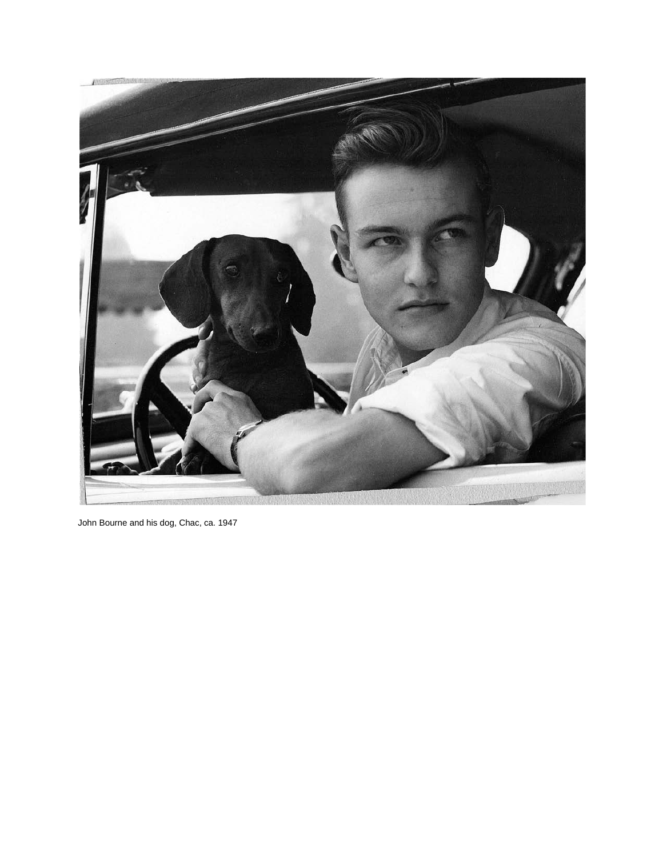

John Bourne and his dog, Chac, ca. 1947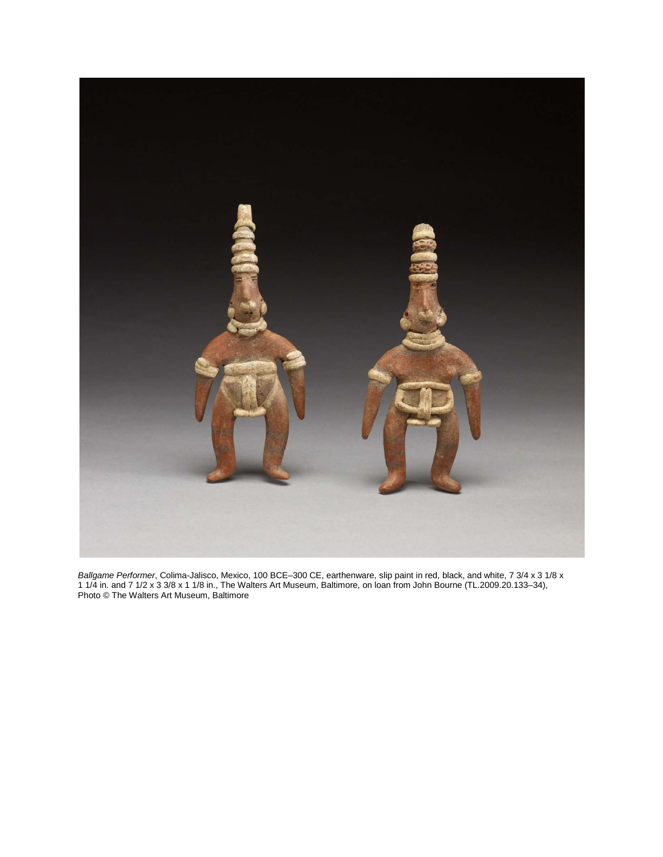

*Ballgame Performer*, Colima-Jalisco, Mexico, 100 BCE–300 CE, earthenware, slip paint in red, black, and white, 7 3/4 x 3 1/8 x 1 1/4 in. and 7 1/2 x 3 3/8 x 1 1/8 in., The Walters Art Museum, Baltimore, on loan from John Bourne (TL.2009.20.133–34), Photo © The Walters Art Museum, Baltimore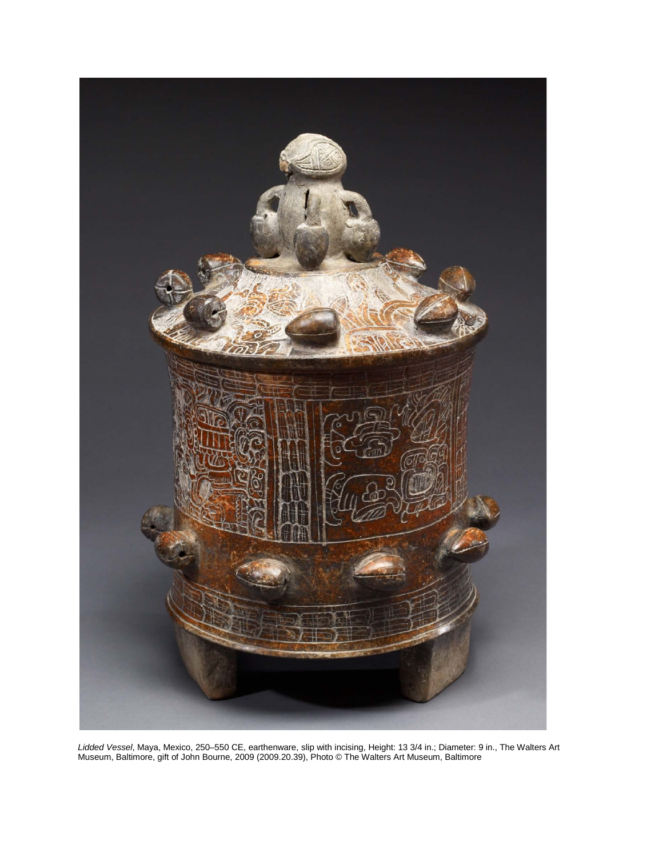

*Lidded Vessel*, Maya, Mexico, 250–550 CE, earthenware, slip with incising, Height: 13 3/4 in.; Diameter: 9 in., The Walters Art Museum, Baltimore, gift of John Bourne, 2009 (2009.20.39), Photo © The Walters Art Museum, Baltimore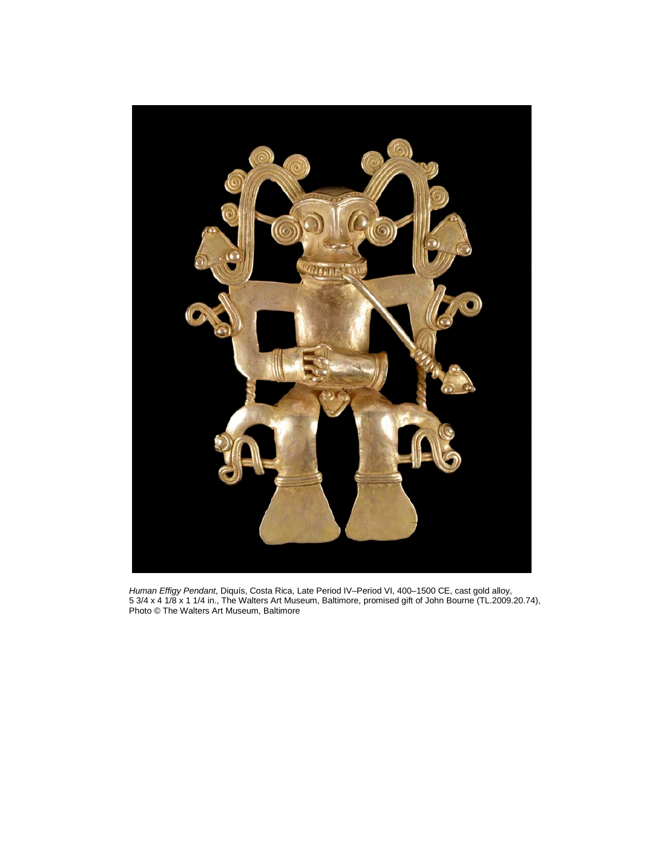

 *Human Effigy Pendant*, Diquís, Costa Rica, Late Period IV–Period VI, 400–1500 CE, cast gold alloy, 5 3/4 x 4 1/8 x 1 1/4 in., The Walters Art Museum, Baltimore, promised gift of John Bourne (TL.2009.20.74), Photo © The Walters Art Museum, Baltimore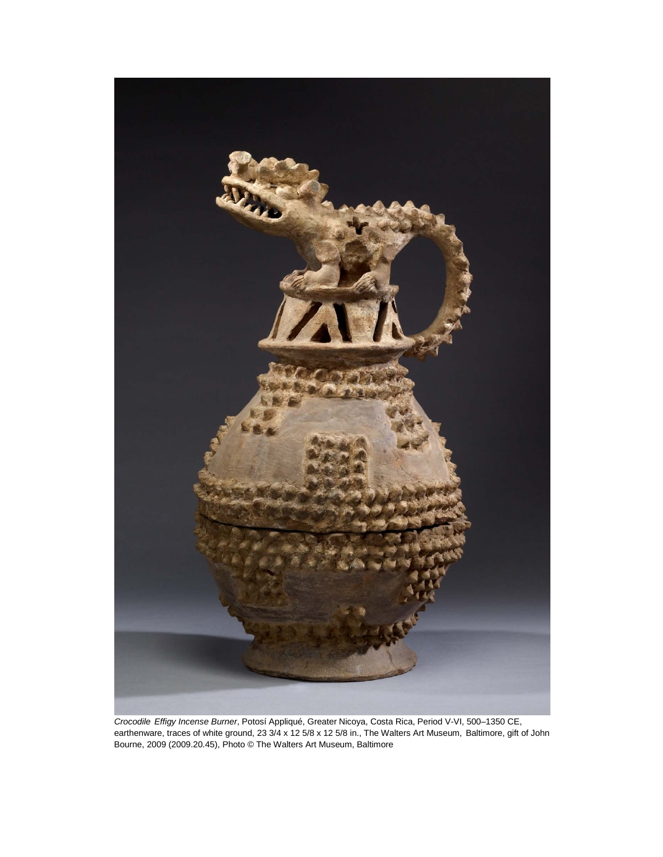

 *Crocodile Effigy Incense Burner*, Potosí Appliqué, Greater Nicoya, Costa Rica, Period V-VI, 500–1350 CE, earthenware, traces of white ground, 23 3/4 x 12 5/8 x 12 5/8 in., The Walters Art Museum, Baltimore, gift of John Bourne, 2009 (2009.20.45), Photo © The Walters Art Museum, Baltimore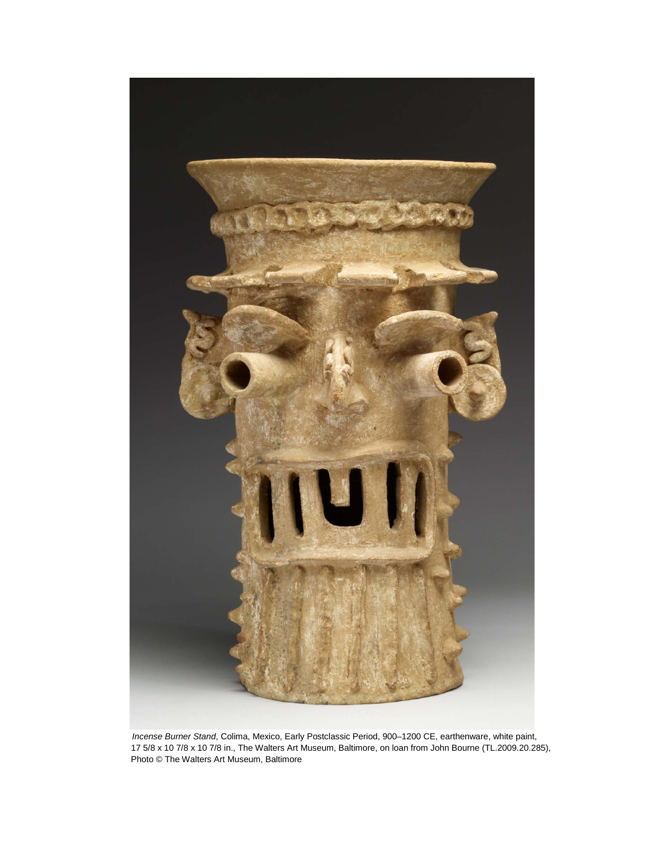

 *Incense Burner Stand*, Colima, Mexico, Early Postclassic Period, 900–1200 CE, earthenware, white paint, 17 5/8 x 10 7/8 x 10 7/8 in., The Walters Art Museum, Baltimore, on loan from John Bourne (TL.2009.20.285), Photo © The Walters Art Museum, Baltimore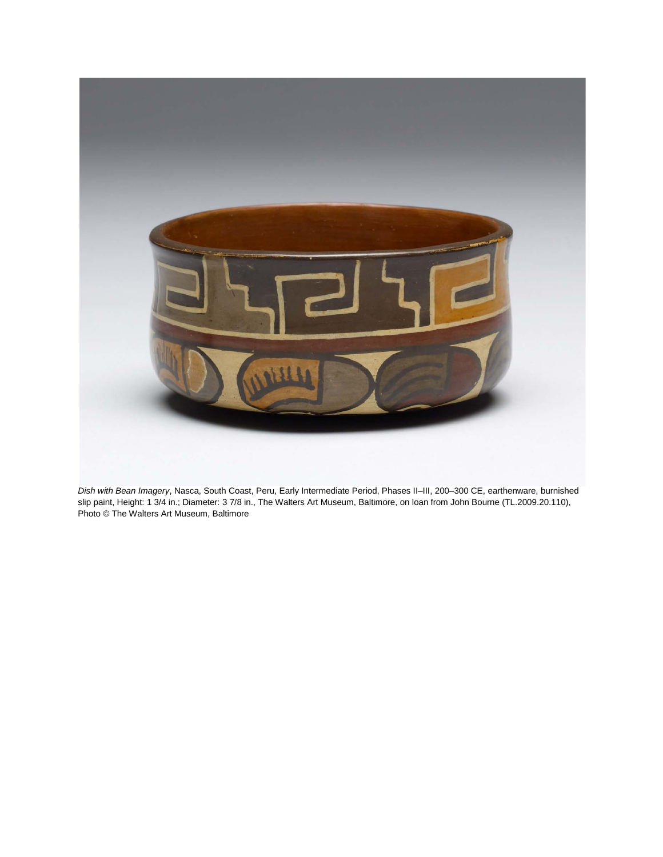

*Dish with Bean Imagery*, Nasca, South Coast, Peru, Early Intermediate Period, Phases II–III, 200–300 CE, earthenware, burnished slip paint, Height: 1 3/4 in.; Diameter: 3 7/8 in., The Walters Art Museum, Baltimore, on loan from John Bourne (TL.2009.20.110), Photo © The Walters Art Museum, Baltimore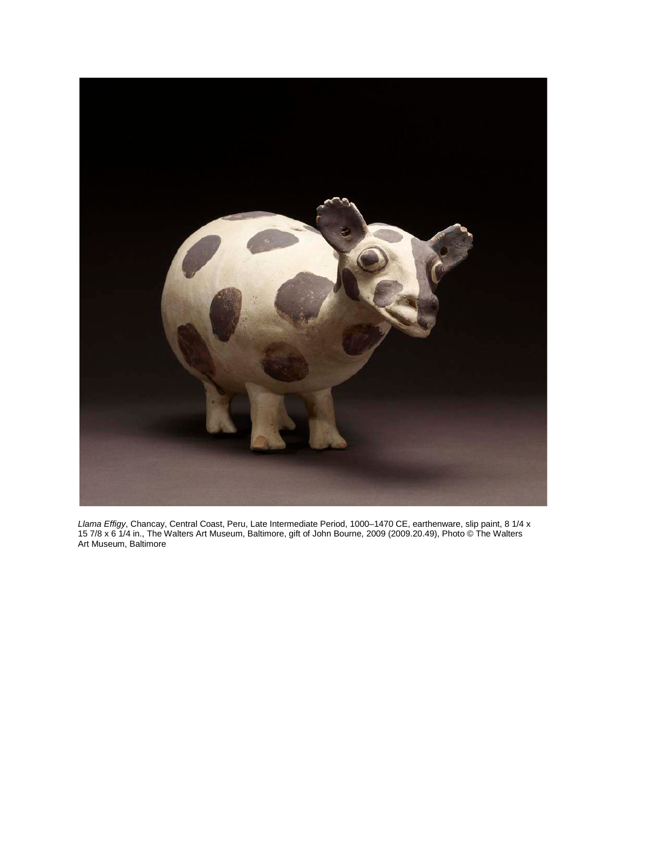

*Llama Effigy*, Chancay, Central Coast, Peru, Late Intermediate Period, 1000–1470 CE, earthenware, slip paint, 8 1/4 x 15 7/8 x 6 1/4 in., The Walters Art Museum, Baltimore, gift of John Bourne, 2009 (2009.20.49), Photo © The Walters Art Museum, Baltimore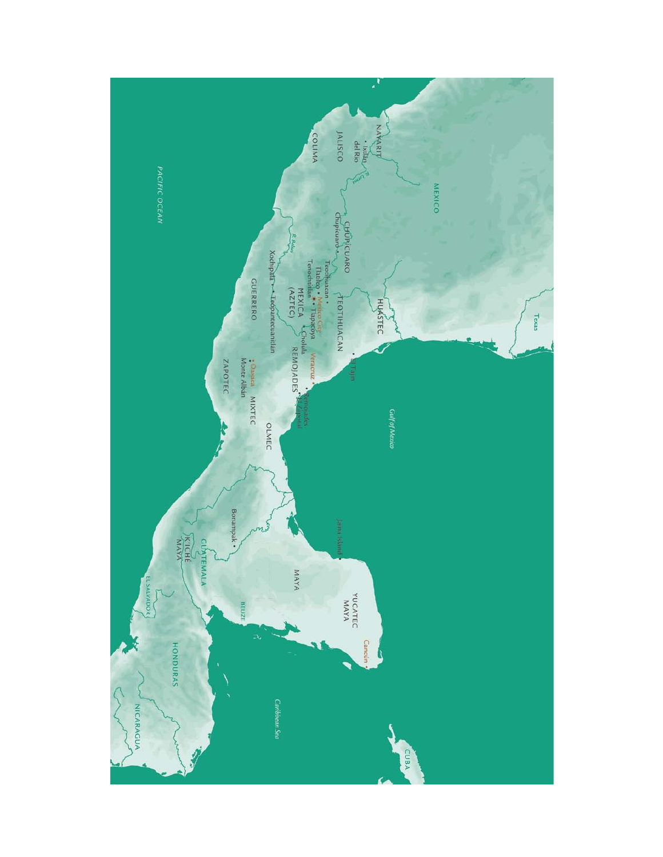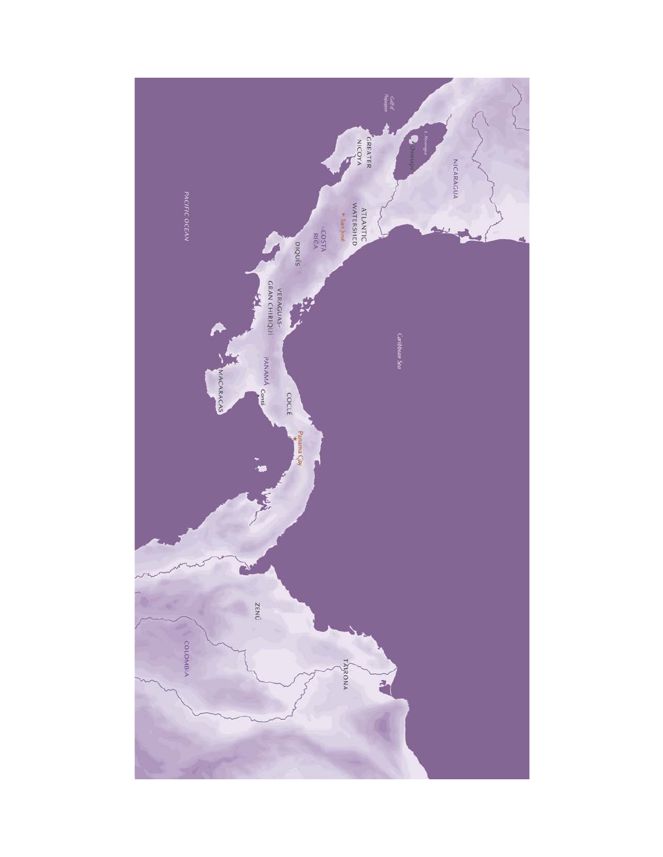